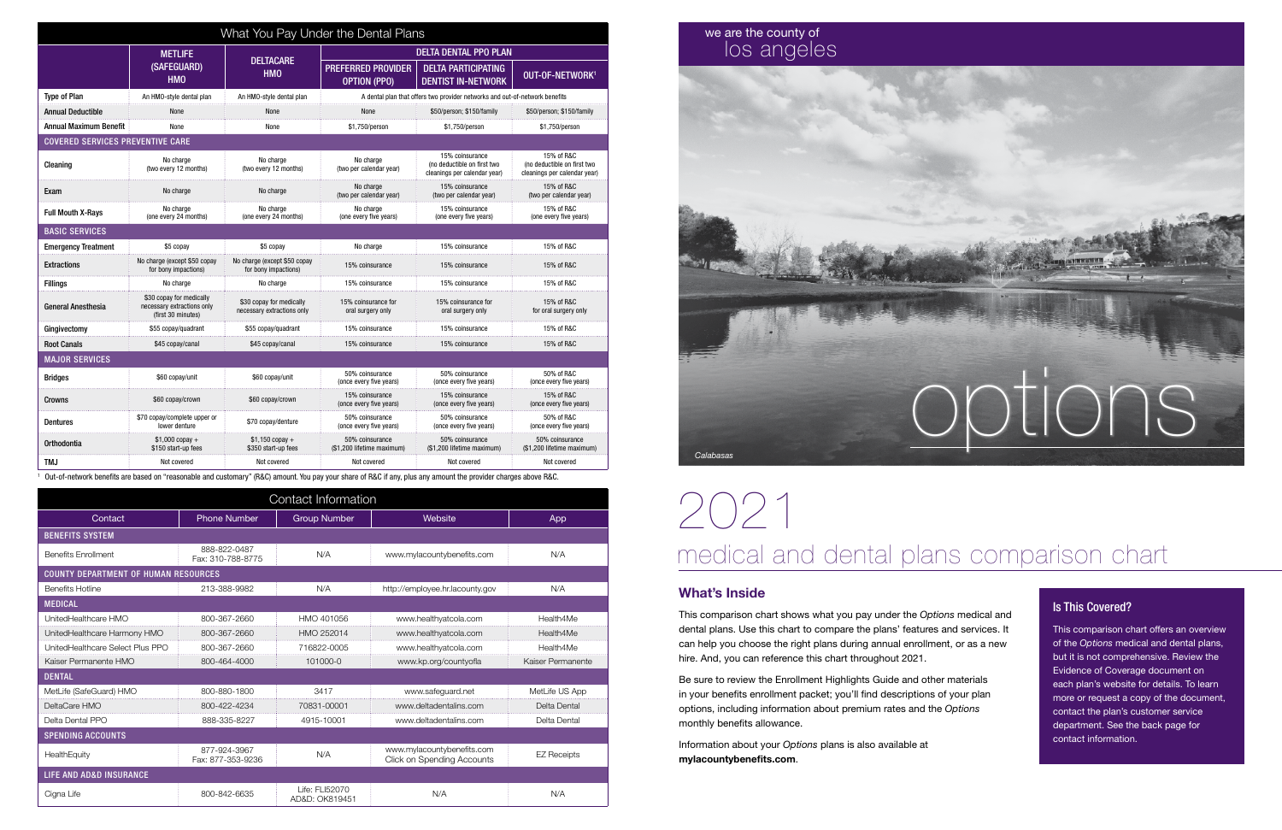

| What You Pay Under the Dental Plans     |                                                                              |                                                        |                                                                             |                                                                                |                                                                           |  |
|-----------------------------------------|------------------------------------------------------------------------------|--------------------------------------------------------|-----------------------------------------------------------------------------|--------------------------------------------------------------------------------|---------------------------------------------------------------------------|--|
|                                         | <b>METLIFE</b><br><b>DELTACARE</b>                                           |                                                        | <b>DELTA DENTAL PPO PLAN</b>                                                |                                                                                |                                                                           |  |
|                                         | (SAFEGUARD)<br><b>HMO</b>                                                    | <b>HMO</b>                                             | <b>PREFERRED PROVIDER</b><br><b>OPTION (PPO)</b>                            | <b>DELTA PARTICIPATING</b><br><b>DENTIST IN-NETWORK</b>                        | OUT-OF-NETWORK <sup>1</sup>                                               |  |
| <b>Type of Plan</b>                     | An HMO-style dental plan                                                     | An HMO-style dental plan                               | A dental plan that offers two provider networks and out-of-network benefits |                                                                                |                                                                           |  |
| <b>Annual Deductible</b>                | None                                                                         | <b>None</b>                                            | None                                                                        | \$50/person; \$150/family                                                      | \$50/person; \$150/family                                                 |  |
| <b>Annual Maximum Benefit</b>           | None                                                                         | None                                                   | \$1.750/person                                                              | \$1,750/person                                                                 | \$1,750/person                                                            |  |
| <b>COVERED SERVICES PREVENTIVE CARE</b> |                                                                              |                                                        |                                                                             |                                                                                |                                                                           |  |
| Cleaning                                | No charge<br>(two every 12 months)                                           | No charge<br>(two every 12 months)                     | No charge<br>(two per calendar year)                                        | 15% coinsurance<br>(no deductible on first two<br>cleanings per calendar year) | 15% of R&C<br>(no deductible on first two<br>cleanings per calendar year) |  |
| Exam                                    | No charge                                                                    | No charge                                              | No charge<br>(two per calendar year)                                        | 15% coinsurance<br>(two per calendar year)                                     | 15% of R&C<br>(two per calendar year)                                     |  |
| <b>Full Mouth X-Rays</b>                | No charge<br>(one every 24 months)                                           | No charge<br>(one every 24 months)                     | No charge<br>(one every five years)                                         | 15% coinsurance<br>(one every five years)                                      | 15% of R&C<br>(one every five years)                                      |  |
| <b>BASIC SERVICES</b>                   |                                                                              |                                                        |                                                                             |                                                                                |                                                                           |  |
| <b>Emergency Treatment</b>              | \$5 copay                                                                    | \$5 copay                                              | No charge                                                                   | 15% coinsurance                                                                | 15% of R&C                                                                |  |
| <b>Extractions</b>                      | No charge (except \$50 copay<br>for bony impactions)                         | No charge (except \$50 copay<br>for bony impactions)   | 15% coinsurance                                                             | 15% coinsurance                                                                | 15% of R&C                                                                |  |
| <b>Fillings</b>                         | No charge                                                                    | No charge                                              | 15% coinsurance                                                             | 15% coinsurance                                                                | 15% of R&C                                                                |  |
| <b>General Anesthesia</b>               | \$30 copay for medically<br>necessary extractions only<br>(first 30 minutes) | \$30 copay for medically<br>necessary extractions only | 15% coinsurance for<br>oral surgery only                                    | 15% coinsurance for<br>oral surgery only                                       | 15% of R&C<br>for oral surgery only                                       |  |
| Gingivectomy                            | \$55 copay/quadrant                                                          | \$55 copay/quadrant                                    | 15% coinsurance                                                             | 15% coinsurance                                                                | 15% of R&C                                                                |  |
| <b>Root Canals</b>                      | \$45 copay/canal                                                             | \$45 copay/canal                                       | 15% coinsurance                                                             | 15% coinsurance                                                                | 15% of R&C                                                                |  |
| <b>MAJOR SERVICES</b>                   |                                                                              |                                                        |                                                                             |                                                                                |                                                                           |  |
| Bridges                                 | \$60 copay/unit                                                              | \$60 copav/unit                                        | 50% coinsurance<br>(once every five years)                                  | 50% coinsurance<br>(once every five years)                                     | 50% of R&C<br>(once every five years)                                     |  |
| Crowns                                  | \$60 copay/crown                                                             | \$60 copay/crown                                       | 15% coinsurance<br>(once every five years)                                  | 15% coinsurance<br>(once every five years)                                     | 15% of R&C<br>(once every five years)                                     |  |
| <b>Dentures</b>                         | \$70 copay/complete upper or<br>lower denture                                | \$70 copay/denture                                     | 50% coinsurance<br>(once every five years)                                  | 50% coinsurance<br>(once every five years)                                     | 50% of R&C<br>(once every five years)                                     |  |
| Orthodontia                             | $$1,000$ copay +<br>\$150 start-up fees                                      | $$1,150$ copay +<br>\$350 start-up fees                | 50% coinsurance<br>(\$1,200 lifetime maximum)                               | 50% coinsurance<br>(\$1,200 lifetime maximum)                                  | 50% coinsurance<br>(\$1,200 lifetime maximum)                             |  |
| TM.I                                    | Not covered                                                                  | Not covered                                            | Not covered                                                                 | Not covered                                                                    | Not covered                                                               |  |

1 Out-of-network benefits are based on "reasonable and customary" (R&C) amount. You pay your share of R&C if any, plus any amount the provider charges above R&C.

This comparison chart shows what you pay under the *Options* medical and dental plans. Use this chart to compare the plans' features and services. It can help you choose the right plans during annual enrollment, or as a new hire. And, you can reference this chart throughout 2021.

Be sure to review the Enrollment Highlights Guide and other materials in your benefits enrollment packet; you'll find descriptions of your plan options, including information about premium rates and the *Options* monthly benefits allowance.

Information about your *Options* plans is also available at mylacountybenefits.com.

# 2021 medical and dental plans comparison chart

# What's Inside

| Contact Information                |                                             |                                  |                                                          |                    |  |  |
|------------------------------------|---------------------------------------------|----------------------------------|----------------------------------------------------------|--------------------|--|--|
| Contact                            | <b>Phone Number</b>                         | <b>Group Number</b>              | Website                                                  | App                |  |  |
| <b>BENEFITS SYSTEM</b>             |                                             |                                  |                                                          |                    |  |  |
| <b>Benefits Enrollment</b>         | 888-822-0487<br>Fax: 310-788-8775           | N/A                              | www.mylacountybenefits.com                               | N/A                |  |  |
|                                    | <b>COUNTY DEPARTMENT OF HUMAN RESOURCES</b> |                                  |                                                          |                    |  |  |
| <b>Benefits Hotline</b>            | 213-388-9982                                | N/A                              | http://employee.hr.lacounty.gov                          | N/A                |  |  |
| <b>MEDICAL</b>                     |                                             |                                  |                                                          |                    |  |  |
| UnitedHealthcare HMO               | 800-367-2660                                | HMO 401056                       | www.healthyatcola.com                                    | Health4Me          |  |  |
| UnitedHealthcare Harmony HMO       | 800-367-2660                                | HMO 252014                       | www.healthyatcola.com                                    | Health4Me          |  |  |
| UnitedHealthcare Select Plus PPO   | 800-367-2660                                | 716822-0005                      | www.healthyatcola.com                                    | Health4Me          |  |  |
| Kaiser Permanente HMO              | 800-464-4000                                | 101000-0                         | www.kp.org/countyofla                                    | Kaiser Permanente  |  |  |
| <b>DENTAL</b>                      |                                             |                                  |                                                          |                    |  |  |
| MetLife (SafeGuard) HMO            | 800-880-1800                                | 3417                             | www.safeguard.net                                        | MetLife US App     |  |  |
| DeltaCare HMO                      | 800-422-4234                                | 70831-00001                      | www.deltadentalins.com                                   | Delta Dental       |  |  |
| Delta Dental PPO                   | 888-335-8227                                | 4915-10001                       | www.deltadentalins.com                                   | Delta Dental       |  |  |
| <b>SPENDING ACCOUNTS</b>           |                                             |                                  |                                                          |                    |  |  |
| HealthEquity                       | 877-924-3967<br>Fax: 877-353-9236           | N/A                              | www.mylacountybenefits.com<br>Click on Spending Accounts | <b>EZ Receipts</b> |  |  |
| <b>LIFE AND AD&amp;D INSURANCE</b> |                                             |                                  |                                                          |                    |  |  |
| Cigna Life                         | 800-842-6635                                | Life: FLI52070<br>AD&D: OK819451 | N/A                                                      | N/A                |  |  |

# we are the county of los angeles

# Is This Covered?

This comparison chart offers an overview of the *Options* medical and dental plans, but it is not comprehensive. Review the Evidence of Coverage document on each plan's website for details. To learn more or request a copy of the document, contact the plan's customer service department. See the back page for contact information.